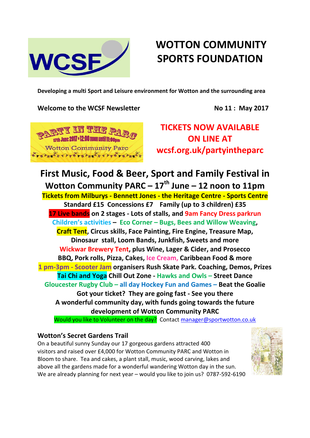

# **WOTTON COMMUNITY SPORTS FOUNDATION**

**Developing a multi Sport and Leisure environment for Wotton and the surrounding area**

## **Welcome to the WCSF Newsletter No 11 : May 2017**



**TICKETS NOW AVAILABLE ON LINE AT wcsf.org.uk/partyintheparc**

# **First Music, Food & Beer, Sport and Family Festival in Wotton Community PARC – 17th June – 12 noon to 11pm**

**Tickets from Milburys - Bennett Jones - the Heritage Centre - Sports Centre Standard £15 Concessions £7 Family (up to 3 children) £35 17 Live bands on 2 stages - Lots of stalls, and 9am Fancy Dress parkrun Children's activities – Eco Corner – Bugs, Bees and Willow Weaving, Craft Tent, Circus skills, Face Painting, Fire Engine, Treasure Map, Dinosaur stall, Loom Bands, Junkfish, Sweets and more Wickwar Brewery Tent, plus Wine, Lager & Cider, and Prosecco BBQ, Pork rolls, Pizza, Cakes, Ice Cream, Caribbean Food & more 1 pm-3pm - Scooter Jam organisers Rush Skate Park. Coaching, Demos, Prizes Tai Chi and Yoga Chill Out Zone - Hawks and Owls – Street Dance Gloucester Rugby Club – all day Hockey Fun and Games – Beat the Goalie Got your ticket? They are going fast - See you there A wonderful community day, with funds going towards the future development of Wotton Community PARC**

Would you like to Volunteer on the day? Contact [manager@sportwotton.co.uk](mailto:manager@sportwotton.co.uk)

# **Wotton's Secret Gardens Trail**

On a beautiful sunny Sunday our 17 gorgeous gardens attracted 400 visitors and raised over £4,000 for Wotton Community PARC and Wotton in Bloom to share. Tea and cakes, a plant stall, music, wood carving, lakes and above all the gardens made for a wonderful wandering Wotton day in the sun. We are already planning for next year – would you like to join us? 0787-592-6190